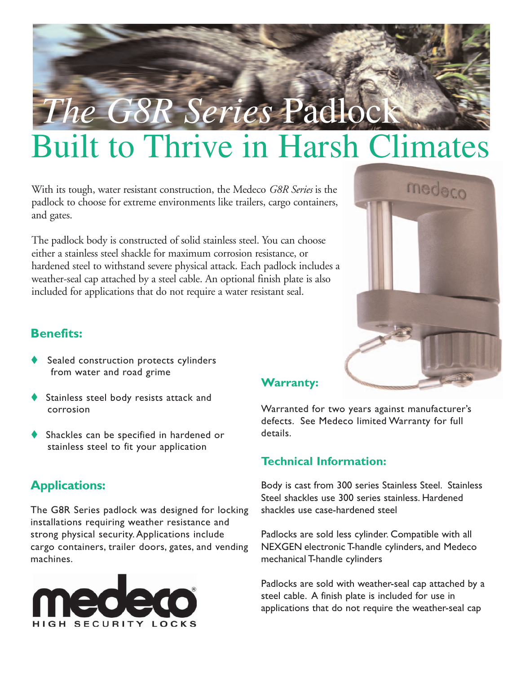# *The G8R Series* Padlock Built to Thrive in Harsh Climates

With its tough, water resistant construction, the Medeco *G8R Series* is the padlock to choose for extreme environments like trailers, cargo containers, and gates.

The padlock body is constructed of solid stainless steel. You can choose either a stainless steel shackle for maximum corrosion resistance, or hardened steel to withstand severe physical attack. Each padlock includes a weather-seal cap attached by a steel cable. An optional finish plate is also included for applications that do not require a water resistant seal.



#### **Benefits:**

- Sealed construction protects cylinders from water and road grime
- Stainless steel body resists attack and corrosion
- Shackles can be specified in hardened or stainless steel to fit your application

### **Applications:**

The G8R Series padlock was designed for locking installations requiring weather resistance and strong physical security. Applications include cargo containers, trailer doors, gates, and vending machines.



#### **Warranty:**

Warranted for two years against manufacturer's defects. See Medeco limited Warranty for full details.

#### **Technical Information:**

Body is cast from 300 series Stainless Steel. Stainless Steel shackles use 300 series stainless. Hardened shackles use case-hardened steel

Padlocks are sold less cylinder. Compatible with all NEXGEN electronic T-handle cylinders, and Medeco mechanical T-handle cylinders

Padlocks are sold with weather-seal cap attached by a steel cable. A finish plate is included for use in applications that do not require the weather-seal cap